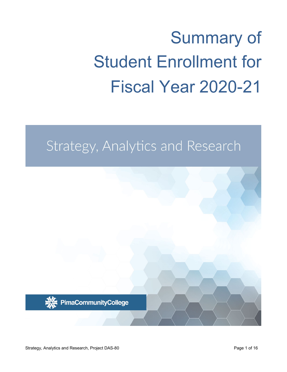# Summary of Student Enrollment for Fiscal Year 2020-21

# Strategy, Analytics and Research

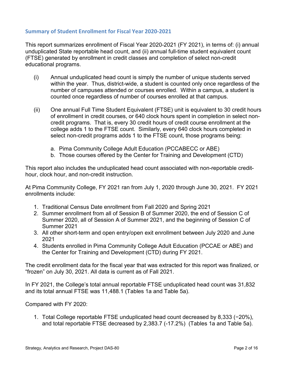## **Summary of Student Enrollment for Fiscal Year 2020-2021**

This report summarizes enrollment of Fiscal Year 2020-2021 (FY 2021), in terms of: (i) annual unduplicated State reportable head count, and (ii) annual full-time student equivalent count (FTSE) generated by enrollment in credit classes and completion of select non-credit educational programs.

- (i) Annual unduplicated head count is simply the number of unique students served within the year. Thus, district-wide, a student is counted only once regardless of the number of campuses attended or courses enrolled. Within a campus, a student is counted once regardless of number of courses enrolled at that campus.
- (ii) One annual Full Time Student Equivalent (FTSE) unit is equivalent to 30 credit hours of enrollment in credit courses, or 640 clock hours spent in completion in select noncredit programs. That is, every 30 credit hours of credit course enrollment at the college adds 1 to the FTSE count. Similarly, every 640 clock hours completed in select non-credit programs adds 1 to the FTSE count, those programs being:
	- a. Pima Community College Adult Education (PCCABECC or ABE)
	- b. Those courses offered by the Center for Training and Development (CTD)

This report also includes the unduplicated head count associated with non-reportable credithour, clock hour, and non-credit instruction.

At Pima Community College, FY 2021 ran from July 1, 2020 through June 30, 2021. FY 2021 enrollments include:

- 1. Traditional Census Date enrollment from Fall 2020 and Spring 2021
- 2. Summer enrollment from all of Session B of Summer 2020, the end of Session C of Summer 2020, all of Session A of Summer 2021, and the beginning of Session C of Summer 2021
- 3. All other short-term and open entry/open exit enrollment between July 2020 and June 2021
- 4. Students enrolled in Pima Community College Adult Education (PCCAE or ABE) and the Center for Training and Development (CTD) during FY 2021.

The credit enrollment data for the fiscal year that was extracted for this report was finalized, or "frozen" on July 30, 2021. All data is current as of Fall 2021.

In FY 2021, the College's total annual reportable FTSE unduplicated head count was 31,832 and its total annual FTSE was 11,488.1 (Tables 1a and Table 5a).

Compared with FY 2020:

1. Total College reportable FTSE unduplicated head count decreased by 8,333 (−20%), and total reportable FTSE decreased by 2,383.7 (-17.2%) (Tables 1a and Table 5a).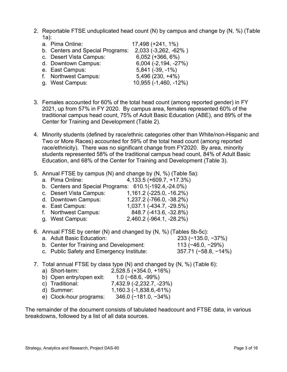- 2. Reportable FTSE unduplicated head count (N) by campus and change by (N, %) (Table 1a):
	- a. Pima Online: 17,498 (+241, 1%) b. Centers and Special Programs: 2,033 (-3,262, -62% ) c. Desert Vista Campus: 6,052 (+366, 6%) d. Downtown Campus: 6,004 (-2,194, -27%) e. East Campus: 5,841 (-39, -1%) f. Northwest Campus: 5,496 (230, +4%) g. West Campus: 10,955 (-1,460, -12%)
- 3. Females accounted for 60% of the total head count (among reported gender) in FY 2021, up from 57% in FY 2020. By campus area, females represented 60% of the traditional campus head count, 75% of Adult Basic Education (ABE), and 89% of the Center for Training and Development (Table 2).
- 4. Minority students (defined by race/ethnic categories other than White/non-Hispanic and Two or More Races) accounted for 59% of the total head count (among reported race/ethnicity). There was no significant change from FY2020. By area, minority students represented 58% of the traditional campus head count, 84% of Adult Basic Education, and 68% of the Center for Training and Development (Table 3).
- 5. Annual FTSE by campus (N) and change by (N, %) (Table 5a):
	- a. Pima Online: 4,133.5 (+609.7, +17.3%)
	- b. Centers and Special Programs: 610.1(-192.4,-24.0%)
	- c. Desert Vista Campus: 1,161.2 (-225.0, -16.2%)
	- d. Downtown Campus: 1,237.2 (-766.0, -38.2%)
	- e. East Campus: 1,037.1 (-434.7, -29.5%)
	- f. Northwest Campus: 848.7 (-413.6, -32.8%)
	- g. West Campus: 2,460.2 (-964.1, -28.2%)

6. Annual FTSE by center (N) and changed by (N, %) (Tables 5b-5c):

- a. Adult Basic Education: 233 (−135.0, −37%) b. Center for Training and Development: 113 (−46.0, −29%) c. Public Safety and Emergency Institute: 357.71 (−58.8, −14%)
- 7. Total annual FTSE by class type (N) and changed by (N, %) (Table 6):
	- a) Short-term: 2,528.5 (+354.0, +16%)
	- b) Open entry/open exit: 1.0 (−68.6, -99%)
	- c) Traditional: 7,432.9 (-2,232.7, -23%)
	- d) Summer: 1,160.3 (-1,838.6,-61%)
	- e) Clock-hour programs: 346.0 (−181.0, −34%)

The remainder of the document consists of tabulated headcount and FTSE data, in various breakdowns, followed by a list of all data sources.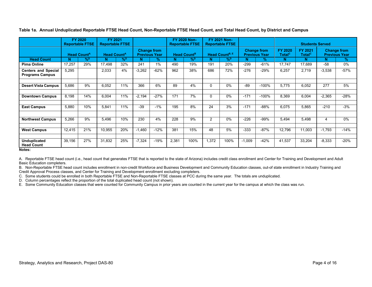|                                                      |        | FY 2020<br><b>Reportable FTSE</b> |                               | FY 2021<br><b>Reportable FTSE</b> |                                            |               | FY 2020 Non-<br><b>Reportable FTSE</b> |               | <b>FY 2021 Non-</b><br><b>Reportable FTSE</b> |                            |          | <b>Students Served</b>                     |                                                                       |        |                                            |        |
|------------------------------------------------------|--------|-----------------------------------|-------------------------------|-----------------------------------|--------------------------------------------|---------------|----------------------------------------|---------------|-----------------------------------------------|----------------------------|----------|--------------------------------------------|-----------------------------------------------------------------------|--------|--------------------------------------------|--------|
|                                                      |        | <b>Head Count<sup>A</sup></b>     | <b>Head Count<sup>A</sup></b> |                                   | <b>Change from</b><br><b>Previous Year</b> |               | <b>Head Count<sup>B</sup></b>          |               |                                               | Head Count <sup>B, E</sup> |          | <b>Change from</b><br><b>Previous Year</b> | FY 2021<br><b>FY 2020</b><br>Total <sup>c</sup><br>Total <sup>c</sup> |        | <b>Change from</b><br><b>Previous Year</b> |        |
| <b>Head Count</b>                                    | N.     | $\%^D$                            | N.                            | $\%^D$                            | N                                          | $\frac{9}{6}$ | N                                      | $\frac{9}{6}$ | N                                             | $\%^D$                     | N        | $\%$                                       | N                                                                     | N      | N.                                         | %      |
| <b>Pima Online</b>                                   | 17,257 | 29%                               | 17.498                        | 32%                               | 241                                        | $1\%$         | 490                                    | 19%           | 191                                           | 20%                        | $-299$   | $-61%$                                     | 17,747                                                                | 17,689 | $-58$                                      | 0%     |
| <b>Centers and Special</b><br><b>Programs Campus</b> | 5,295  |                                   | 2,033                         | 4%                                | $-3,262$                                   | $-62%$        | 962                                    | 38%           | 686                                           | 72%                        | $-276$   | -29%                                       | 6,257                                                                 | 2,719  | $-3,538$                                   | $-57%$ |
|                                                      |        |                                   |                               |                                   |                                            |               |                                        |               |                                               |                            |          |                                            |                                                                       |        |                                            |        |
| <b>Desert Vista Campus</b>                           | 5,686  | 9%                                | 6,052                         | 11%                               | 366                                        | 6%            | 89                                     | 4%            | $\Omega$                                      | $0\%$                      | $-89$    | $-100%$                                    | 5,775                                                                 | 6,052  | 277                                        | 5%     |
|                                                      |        |                                   |                               |                                   |                                            |               |                                        |               |                                               |                            |          |                                            |                                                                       |        |                                            |        |
| <b>Downtown Campus</b>                               | 8,198  | 14%                               | 6,004                         | 11%                               | $-2,194$                                   | $-27%$        | 171                                    | 7%            | $\mathbf 0$                                   | 0%                         | $-171$   | $-100%$                                    | 8,369                                                                 | 6,004  | $-2,365$                                   | $-28%$ |
|                                                      |        |                                   |                               |                                   |                                            |               |                                        |               |                                               |                            |          |                                            |                                                                       |        |                                            |        |
| <b>East Campus</b>                                   | 5,880  | 10%                               | 5,841                         | 11%                               | $-39$                                      | $-1%$         | 195                                    | 8%            | 24                                            | 3%                         | $-171$   | $-88%$                                     | 6,075                                                                 | 5,865  | $-210$                                     | $-3%$  |
|                                                      |        |                                   |                               |                                   |                                            |               |                                        |               |                                               |                            |          |                                            |                                                                       |        |                                            |        |
| <b>Northwest Campus</b>                              | 5,266  | 9%                                | 5,496                         | 10%                               | 230                                        | 4%            | 228                                    | 9%            | 2                                             | $0\%$                      | $-226$   | -99%                                       | 5,494                                                                 | 5,498  | 4                                          | 0%     |
|                                                      |        |                                   |                               |                                   |                                            |               |                                        |               |                                               |                            |          |                                            |                                                                       |        |                                            |        |
| <b>West Campus</b>                                   | 12,415 | 21%                               | 10,955                        | 20%                               | $-1,460$                                   | $-12%$        | 381                                    | 15%           | 48                                            | 5%                         | $-333$   | $-87%$                                     | 12,796                                                                | 11,003 | $-1,793$                                   | $-14%$ |
|                                                      |        |                                   |                               |                                   |                                            |               |                                        |               |                                               |                            |          |                                            |                                                                       |        |                                            |        |
| <b>Unduplicated</b><br><b>Head Count</b>             | 39,156 | 27%                               | 31,832                        | 25%                               | $-7,324$                                   | $-19%$        | 2,381                                  | 100%          | 1,372                                         | 100%                       | $-1,009$ | $-42%$                                     | 41,537                                                                | 33,204 | $-8,333$                                   | $-20%$ |

**Table 1a. Annual Unduplicated Reportable FTSE Head Count, Non-Reportable FTSE Head Count, and Total Head Count, by District and Campus**

**Notes:**

A. Reportable FTSE head count (i.e., head count that generates FTSE that is reported to the state of Arizona) includes credit class enrollment and Center for Training and Development and Adult Basic Education completers.

B. Non-Reportable FTSE head count includes enrollment in non-credit Workforce and Business Development and Community Education classes, out-of state enrollment in Industry Training and Credit Approval Process classes, and Center for Training and Development enrollment excluding completers.

C. Some students could be enrolled in both Reportable FTSE and Non-Reportable FTSE classes at PCC during the same year. The totals are unduplicated.

D. Column percentages reflect the proportion of the total duplicated head count (not shown).

E. Some Community Education classes that were counted for Community Campus in prior years are counted in the current year for the campus at which the class was run.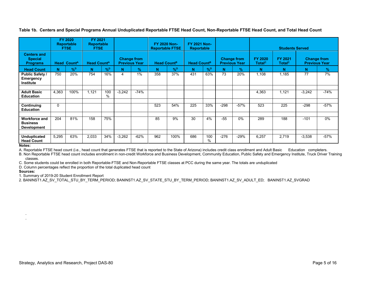**FY 2020 Reportable FTSE FY 2021 Reportable FTSE FY 2020 Non-Reportable FTSE FY 2021 Non-Students Served Centers and Special Programs Head CountA Head CountA Change from Previous Year Head Count<sup>B</sup> Head Count<sup>B</sup> Change from Previous Year FY 2020**  Total<sup>c</sup> **FY 2021 TotalC Change from Previous Year Head Count N %D N %D N % N %D N %D N % N N N % Public Safety / Emergency Institute** 750 | 20% | 754 | 16% | 4 | 1% | 358 | 37% | 431 |63% | 73 | 20% | 1,108 | 1,185 | 77 | 7% **Adult Basic Education** 4,363 100% 1,121 100 % -3,242 | -74% | | | | | | | | | | | | | | 4,363 | 1,121 | -3,242 | -74% **Continuing Education** 0 | | | | | | 523 | 54% | 225 | 33% | -298 | -57% | 523 | -298 | -57% **Workforce and Business Development** 204 | 81% | 158 | 75% | | 85 | 9% | 30 | 4% | -55 | 0% | 289 | 188 | -101 | 0% **Unduplicated Head Count** 5,295 | 63% | 2,033 | 34% | -3,262 | -62% | 962 | 100% | 686 | 100 % -276 | -29% | 6,257 | 2,719 | -3,538 | -57%

**Table 1b. Centers and Special Programs Annual Unduplicated Reportable FTSE Head Count, Non-Reportable FTSE Head Count, and Total Head Count**

#### **Notes:**

A. Reportable FTSE head count (i.e., head count that generates FTSE that is reported to the State of Arizona) includes credit class enrollment and Adult Basic Education completers.

B. Non Reportable FTSE head count includes enrollment in non-credit Workforce and Business Development, Community Education, Public Safety and Emergency Institute, Truck Driver Training classes.

C. Some students could be enrolled in both Reportable-FTSE and Non-Reportable FTSE classes at PCC during the same year. The totals are unduplicated

D. Column percentages reflect the proportion of the total duplicated head count

#### **Sources:**

. .

1. Summary of 2019-20 Student Enrollment Report

2. BANINST1.AZ\_SV\_TOTAL\_STU\_BY\_TERM\_PERIOD; BANINST1.AZ\_SV\_STATE\_STU\_BY\_TERM\_PERIOD; BANINST1.AZ\_SV\_ADULT\_ED; BANINST1.AZ\_SVGRAD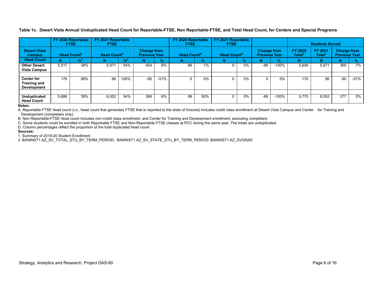**Table 1c. Desert Vista Annual Unduplicated Head Count for Reportable-FTSE, Non Reportable-FTSE, and Total Head Count, for Centers and Special Programs**

|                                                                |                               | FY 2020 Reportable<br><b>FTSE</b> | FY 2021 Reportable<br><b>FTSE</b> |               |                                            |               | FY 2020 Reportable<br><b>FTSE</b> |       | FY 2021 Reportable<br><b>FTSE</b> |               |                                            |               |                               | <b>Students Served</b>               |                                            |        |
|----------------------------------------------------------------|-------------------------------|-----------------------------------|-----------------------------------|---------------|--------------------------------------------|---------------|-----------------------------------|-------|-----------------------------------|---------------|--------------------------------------------|---------------|-------------------------------|--------------------------------------|--------------------------------------------|--------|
| <b>Desert Vista</b><br><b>Campus</b>                           | <b>Head Count<sup>A</sup></b> |                                   | <b>Head Count<sup>A</sup></b>     |               | <b>Change from</b><br><b>Previous Year</b> |               | <b>Head Count</b> <sup>B</sup>    |       | Head Count <sup>B</sup>           |               | <b>Change from</b><br><b>Previous Year</b> |               | FY 2020<br>Total <sup>c</sup> | <b>FY 2021</b><br>Total <sup>c</sup> | <b>Change from</b><br><b>Previous Year</b> |        |
| <b>Head Count</b>                                              |                               | $\frac{9}{6}$                     |                                   | $\frac{9}{6}$ | N                                          | $\frac{9}{6}$ | N                                 | %     |                                   | $\frac{9}{6}$ |                                            | $\frac{0}{2}$ |                               | N                                    | N                                          |        |
| <b>Other Desert</b><br><b>Vista Campus</b>                     | 5.517                         | 38%                               | 5,971                             | 54%           | 454                                        | 8%            | 89                                | 1%    | $\Omega$                          | 0%            | $-89$                                      | $-100%$       | 5,606                         | 5,971                                | 365                                        | 7%     |
|                                                                |                               |                                   |                                   |               |                                            |               |                                   |       |                                   |               |                                            |               |                               |                                      |                                            |        |
| <b>Center for</b><br><b>Training and</b><br><b>Development</b> | 176                           | 99%                               | 86                                | 100%          | $-90$                                      | $-51%$        |                                   | $0\%$ | $\Omega$                          | 0%            |                                            | 0%            | 176                           | 86                                   | $-90$                                      | $-51%$ |
|                                                                |                               |                                   |                                   |               |                                            |               |                                   |       |                                   |               |                                            |               |                               |                                      |                                            |        |
| <b>Unduplicated</b><br><b>Head Count</b>                       | 5,686                         | 39%                               | 6,052                             | 54%           | 366                                        | 6%            | 89                                | 50%   | 0                                 | 0%            | $-89$                                      | $-100%$       | 5,775                         | 6,052                                | 277                                        | 5%     |

#### **Notes:**

A. Reportable FTSE head count (*i.e.*, head count that generates FTSE that is reported to the state of Arizona) includes credit class enrollment at Desert Vista Campus and Center for Training and Development (completers only).

B. Non Reportable-FTSE head count includes non-credit class enrollment, and Center for Training and Development enrollment, excluding completers.

C. Some students could be enrolled in both Reportable FTSE and Non-Reportable FTSE classes at PCC during the same year. The totals are unduplicated.

D. Column percentages reflect the proportion of the total duplicated head count.

#### **Sources:**

1. Summary of 2019-20 Student Enrollment

2. BANINST1.AZ\_SV\_TOTAL\_STU\_BY\_TERM\_PERIOD; BANINST1.AZ\_SV\_STATE\_STU\_BY\_TERM\_PERIOD; BANINST1.AZ\_SVGRAD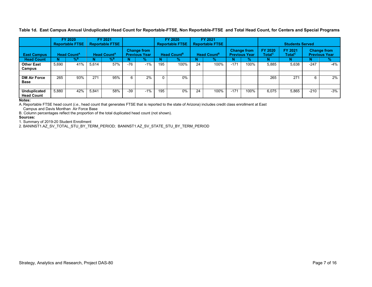**Table 1d. East Campus Annual Unduplicated Head Count for Reportable-FTSE, Non Reportable-FTSE and Total Head Count, for Centers and Special Programs**

|                                          |                                                                | FY 2020<br><b>Reportable FTSE</b> |       | FY 2021<br><b>Reportable FTSE</b>          |       |                                |     | FY 2020<br><b>Reportable FTSE</b> |    | FY 2021<br><b>Reportable FTSE</b>          |        |                               |                                                                             | <b>Students Served</b> |        |               |
|------------------------------------------|----------------------------------------------------------------|-----------------------------------|-------|--------------------------------------------|-------|--------------------------------|-----|-----------------------------------|----|--------------------------------------------|--------|-------------------------------|-----------------------------------------------------------------------------|------------------------|--------|---------------|
| <b>East Campus</b>                       | <b>Head Count<sup>A</sup></b><br><b>Head Count<sup>A</sup></b> |                                   |       | <b>Change from</b><br><b>Previous Year</b> |       | <b>Head Count</b> <sup>B</sup> |     | <b>Head Count</b> <sup>B</sup>    |    | <b>Change from</b><br><b>Previous Year</b> |        | FY 2020<br>Total <sup>c</sup> | FY 2021<br><b>Change from</b><br><b>Previous Year</b><br>Total <sup>c</sup> |                        |        |               |
| <b>Head Count</b>                        |                                                                | $\%$ <sup>B</sup>                 |       | % <sup>в</sup>                             |       | $\%$                           |     | %                                 |    | $\frac{9}{6}$                              |        | $\%$                          | N                                                                           | N                      |        | $\frac{1}{2}$ |
| <b>Other East</b><br>Campus              | 5.690                                                          | 41%                               | 5.614 | 57%                                        | $-76$ | $-1%$                          | 195 | 100%                              | 24 | 100%                                       | $-171$ | 100%                          | 5.885                                                                       | 5,638                  | $-247$ | -4%           |
|                                          |                                                                |                                   |       |                                            |       |                                |     |                                   |    |                                            |        |                               |                                                                             |                        |        |               |
| <b>DM Air Force</b><br><b>Base</b>       | 265                                                            | 93%                               | 271   | 95%                                        | 6     | 2%                             |     | $0\%$                             |    |                                            |        |                               | 265                                                                         | 271                    |        | 2%            |
|                                          |                                                                |                                   |       |                                            |       |                                |     |                                   |    |                                            |        |                               |                                                                             |                        |        |               |
| <b>Unduplicated</b><br><b>Head Count</b> | 5.880                                                          | 42%                               | 5.841 | 58%                                        | $-39$ | $-1%$                          | 195 | $0\%$                             | 24 | 100%                                       | $-171$ | 100%                          | 6.075                                                                       | 5,865                  | $-210$ | $-3%$         |

#### **Notes:**

A. Reportable FTSE head count (*i.e.*, head count that generates FTSE that is reported to the state of Arizona) includes credit class enrollment at East

Campus and Davis Monthan Air Force Base

B. Column percentages reflect the proportion of the total duplicated head count (not shown).

#### **Sources:**

1. Summary of 2019-20 Student Enrollment

2. BANINST1.AZ\_SV\_TOTAL\_STU\_BY\_TERM\_PERIOD; BANINST1.AZ\_SV\_STATE\_STU\_BY\_TERM\_PERIOD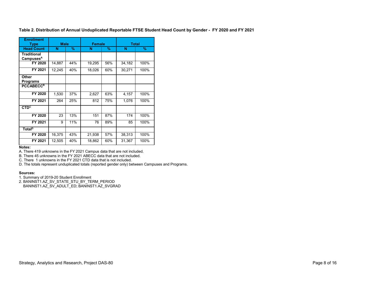**Table 2. Distribution of Annual Unduplicated Reportable FTSE Student Head Count by Gender - FY 2020 and FY 2021**

| <b>Enrollment</b><br>Type                   | <b>Male</b> |     | <b>Female</b> |      | <b>Total</b> |      |
|---------------------------------------------|-------------|-----|---------------|------|--------------|------|
| <b>Head Count</b>                           | N           | %   | N             | $\%$ | N            | %    |
| <b>Traditional</b><br>Campuses <sup>A</sup> |             |     |               |      |              |      |
| FY 2020                                     | 14,887      | 44% | 19,295        | 56%  | 34,182       | 100% |
| FY 2021                                     | 12,245      | 40% | 18,026        | 60%  | 30,271       | 100% |
| Other<br><b>Programs</b>                    |             |     |               |      |              |      |
| <b>PCCABECCB</b>                            |             |     |               |      |              |      |
| FY 2020                                     | 1,530       | 37% | 2,627         | 63%  | 4,157        | 100% |
| FY 2021                                     | 264         | 25% | 812           | 75%  | 1,076        | 100% |
| CTD <sup>c</sup>                            |             |     |               |      |              |      |
| FY 2020                                     | 23          | 13% | 151           | 87%  | 174          | 100% |
| FY 2021                                     | 9           | 11% | 76            | 89%  | 85           | 100% |
| Total <sup>D</sup>                          |             |     |               |      |              |      |
| FY 2020                                     | 16,375      | 43% | 21,938        | 57%  | 38,313       | 100% |
| FY 2021                                     | 12,505      | 40% | 18,862        | 60%  | 31,367       | 100% |

#### **Notes:**

A. There 419 unknowns in the FY 2021 Campus data that are not included.

B. There 45 unknowns in the FY 2021 ABECC data that are not included.

C. There 1 unknowns in the FY 2021 CTD data that is not included.

D. The totals represent unduplicated totals (reported gender only) between Campuses and Programs.

#### **Sources:**

1. Summary of 2019-20 Student Enrollment

2. BANINST1.AZ\_SV\_STATE\_STU\_BY\_TERM\_PERIOD

BANINST1.AZ\_SV\_ADULT\_ED; BANINST1.AZ\_SVGRAD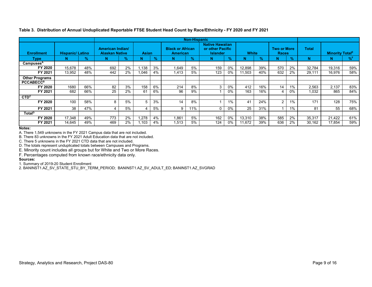**Non-Hispanic Enrollment Hispanic/ Latino American Indian/ Alaskan Native Asian Black or African American Native Hawaiian or other Pacific Islander White Two or More Races Total Minority Total<sup>E</sup> Type N % N % N % N % N % N % N % N N %F** Campuses<sup>A</sup><br>FY 2020 **FY 2020 |** 15,678 | 48% | 692 | 2% | 1,138 | 3% | 1,649 | 5% | 159 | 0% | 12,898 | 39% | 570 | 2% | 32,784 | 19,316 | 59% **FY 2021 |** 13,952 | 48% | 442 | 2% | 1,046 | 4% | 1,413 | 5% | 123 | 0% | 11,503 | 40% | 632 | 2% | 29,111 | 16,976 | 58% **Other Programs** PCCABECC<sup>B</sup><br>FY 2020 **FY 2020 |** 1680 | 66% | 82 | 3% | 158 | 6% | 214 | 8% | 3 | 0% | 412 | 16% | 14 | 1% | 2,563 | 2,137 | 83% **FY 2021 |** 682 | 66% | 25 | 2% | 61 | 6% | 96 | 9% | 1 | 0% | 163 | 16% | 4 | 0% | 1,032 | 865 | 84% **CTD<sup>c</sup> FY 2020 |** 100 | 58% | 8 | 5% | 5 | 3% | 14 | 8% | 1 | 11% | 41 | 24% | 2 | 1% | 171 | 128 | 75% **FY 2021 |** 38 | 47% | 4 | 5% | 4 | 5% | 9 | 11% | 0 | 0% | 25 | 31% | 1 | 1% | 81 | 55 | 68% **Total**<sup>D</sup> **FY 2020 |** 17,348 | 49% | 773 | 2% | 1,278 | 4% | 1,861 | 5% | 162 | 0% | 13,310 | 38% | 585 | 2% | 35,317 | 21,422 | 61% **FY 2021 |** 14,645 | 49% | 469 | 2% | 1,103 | 4% | 1,513 | 5% | 124 | 0% | 11,672 | 39% | 636 | 2% | 30,162 | 17,854 | 59%

**Table 3. Distribution of Annual Unduplicated Reportable FTSE Student Head Count by Race/Ethnicity - FY 2020 and FY 2021**

**Notes:**

A. There 1,549 unknowns in the FY 2021 Campus data that are not included.

B. There 83 unknowns in the FY 2021 Adult Education data that are not included.

C. There 5 unknowns in the FY 2021 CTD data that are not included.

D. The totals represent unduplicated totals between Campuses and Programs.

E. Minority count includes all groups but for White and Two or More Races.

F. Percentages computed from known race/ethnicity data only.

#### **Sources:**

1. Summary of 2019-20 Student Enrollment

2. BANINST1.AZ\_SV\_STATE\_STU\_BY\_TERM\_PERIOD; BANINST1.AZ\_SV\_ADULT\_ED; BANINST1.AZ\_SVGRAD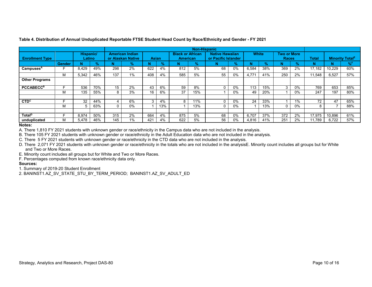|                        |               |                            |               |     |                                             |     |               |                                            | <b>Non-Hispanic</b> |                                               |       |              |               |                                    |               |        |        |                                   |
|------------------------|---------------|----------------------------|---------------|-----|---------------------------------------------|-----|---------------|--------------------------------------------|---------------------|-----------------------------------------------|-------|--------------|---------------|------------------------------------|---------------|--------|--------|-----------------------------------|
| <b>Enrollment Type</b> |               | Hispanic/<br><b>Latino</b> |               |     | <b>American Indian</b><br>or Alaskan Native |     | <b>Asian</b>  | <b>Black or African</b><br><b>American</b> |                     | <b>Native Hawaiian</b><br>or Pacific Islander |       | <b>White</b> |               | <b>Two or More</b><br><b>Races</b> |               | Total  |        | <b>Minority Total<sup>E</sup></b> |
|                        | <b>Gender</b> |                            | $\frac{9}{6}$ |     | $\frac{9}{6}$                               | N   | $\frac{9}{6}$ |                                            | $\mathcal{A}$       | N                                             | $\%$  | N            | $\frac{9}{6}$ |                                    | $\mathcal{A}$ | N      | N      | %                                 |
| Campuses <sup>A</sup>  |               | 8.429                      | 49%           | 298 | 2%                                          | 622 | 4%            | 812                                        | 5%                  | 68                                            | 0%    | 6.584        | 38%           | 369                                | 2%            | 17.182 | 10.229 | 60%                               |
|                        | м             | 5,342                      | 46%           | 137 | 1%                                          | 408 | 4%            | 585                                        | 5%                  | 55                                            | 0%    | 4,771        | 41%           | 250                                | 2%            | 11.548 | 6,527  | 57%                               |
| <b>Other Programs</b>  |               |                            |               |     |                                             |     |               |                                            |                     |                                               |       |              |               |                                    |               |        |        |                                   |
| <b>PCCABECCB</b>       |               | 536                        | 70%           | 15  | 2%                                          | 43  | 6%            | 59                                         | 8%                  |                                               | 0%    | 113          | 15%           | 3                                  | 0%            | 769    | 653    | 85%                               |
|                        | ΙVΙ           | 135                        | 55%           | 8   | 3%                                          | 16  | 6%            | 37                                         | 15%                 |                                               | $0\%$ | 49           | 20%           |                                    | $0\%$         | 247    | 197    | 80%                               |
|                        |               |                            |               |     |                                             |     |               |                                            |                     |                                               |       |              |               |                                    |               |        |        |                                   |
| CTD <sup>c</sup>       |               | 32                         | 44%           | 4   | 6%                                          | 3   | 4%            | 8                                          | 11%                 |                                               | $0\%$ | 24           | 33%           |                                    | 1%            | 72     | 47     | 65%                               |
|                        |               | 5                          | 63%           |     | 0%                                          |     | 13%           |                                            | 13%                 |                                               | 0%    |              | 13%           | $\Omega$                           | 0%            |        |        | 88%                               |
|                        |               |                            |               |     |                                             |     |               |                                            |                     |                                               |       |              |               |                                    |               |        |        |                                   |
| Total <sup>D</sup>     |               | 8,974                      | 50%           | 315 | 2%                                          | 664 | 4%            | 875                                        | 5%                  | 68                                            | $0\%$ | 6.707        | 37%           | 372                                | 2%            | 17.975 | 10,896 | 61%                               |
| unduplicated           |               | 5.478                      | 46%           | 145 | 1%                                          | 421 | 4%            | 622                                        | 5%                  | 56                                            | 0%    | 4.816        | 41%           | 251                                | 2%            | 11.789 | 6.722  | 57%                               |

#### **Table 4. Distribution of Annual Unduplicated Reportable FTSE Student Head Count by Race/Ethnicity and Gender - FY 2021**

#### **Notes:**

A. There 1,810 FY 2021 students with unknown gender or race/ethnicity in the Campus data who are not included in the analysis.

B. There 105 FY 2021 students with unknown gender or race/ethnicity in the Adult Education data who are not included in the analysis.

C. There 5 FY 2021 students with unknown gender or race/ethnicity in the CTD data who are not included in the analysis.

D. There 2,071 FY 2021 students with unknown gender or race/ethnicity in the totals who are not included in the analysisE. Minority count includes all groups but for White and Two or More Races.

E. Minority count includes all groups but for White and Two or More Races.

F. Percentages computed from known race/ethnicity data only.

#### **Sources:**

1. Summary of 2019-20 Student Enrollment

2. BANINST1.AZ\_SV\_STATE\_STU\_BY\_TERM\_PERIOD; BANINST1.AZ\_SV\_ADULT\_ED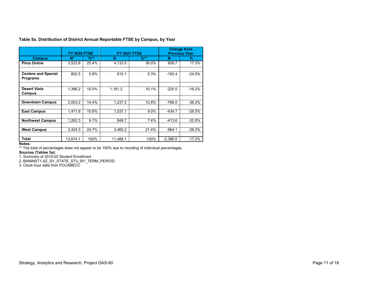|                                               | <b>FY 2020 FTSE</b> |                  | <b>FY 2021 FTSE</b> |                  |            | <b>Change from</b><br><b>Previous Year</b> |
|-----------------------------------------------|---------------------|------------------|---------------------|------------------|------------|--------------------------------------------|
| <b>Campus</b>                                 | N*                  | $\frac{9}{6}$ ** | N                   | $\frac{9}{6}$ ** | N          | %                                          |
| <b>Pima Online</b>                            | 3,523.8             | 25.4%            | 4,133.5             | 36.0%            | 609.7      | 17.3%                                      |
| <b>Centers and Special</b><br><b>Programs</b> | 802.5               | 5.8%             | 610.1               | 5.3%             | $-192.4$   | $-24.0%$                                   |
| <b>Desert Vista</b><br>Campus                 | 1,386.2             | 10.0%            | 1,161.2             | 10.1%            | $-225.0$   | $-16.2%$                                   |
| <b>Downtown Campus</b>                        | 2.003.2             | 14.4%            | 1.237.2             | 10.8%            | $-766.0$   | $-38.2%$                                   |
| <b>East Campus</b>                            | 1.471.8             | 10.6%            | 1.037.1             | 9.0%             | $-434.7$   | $-29.5%$                                   |
| <b>Northwest Campus</b>                       | 1.262.3             | 9.1%             | 848.7               | 7.4%             | $-413.6$   | $-32.8%$                                   |
| <b>West Campus</b>                            | 3,424.3             | 24.7%            | 2.460.2             | 21.4%            | $-964.1$   | $-28.2%$                                   |
| Total                                         | 13.874.1            | 100%             | 11.488.1            | 100%             | $-2.386.0$ | $-17.2%$                                   |

**Table 5a. Distribution of District Annual Reportable FTSE by Campus, by Year**

#### **Notes:**

\*\* The total of percentages does not appear to be 100% due to rounding of individual percentages.

**Sources (Tables 5a):**  1. Summary of 2019-20 Student Enrollment

2. BANINST1.AZ\_SV\_STATE\_STU\_BY\_TERM\_PERIOD

3. Clock-hour data from PCCABECC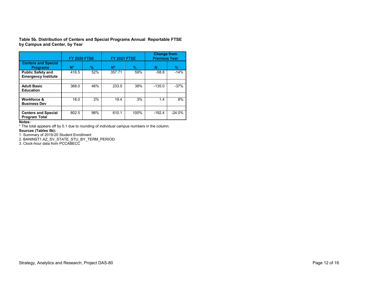**Table 5b. Distribution of Centers and Special Programs Annual Reportable FTSE by Campus and Center, by Year**

|                                                        | <b>FY 2020 FTSE</b> |      | <b>FY 2021 FTSE</b> |      | <b>Change from</b><br><b>Previous Year</b> |          |  |  |
|--------------------------------------------------------|---------------------|------|---------------------|------|--------------------------------------------|----------|--|--|
| <b>Centers and Special</b><br><b>Programs</b>          | N*                  | $\%$ | $N^*$               | $\%$ | N                                          | %        |  |  |
| <b>Public Safety and</b><br><b>Emergency Institute</b> | 416.5               | 52%  | 357.71              | 59%  | $-58.8$                                    | $-14%$   |  |  |
|                                                        |                     |      |                     |      |                                            |          |  |  |
| <b>Adult Basic</b><br><b>Education</b>                 | 368.0               | 46%  | 233.0               | 38%  | $-135.0$                                   | $-37%$   |  |  |
|                                                        |                     |      |                     |      |                                            |          |  |  |
| <b>Workforce &amp;</b><br><b>Business Dev</b>          | 18.0                | 2%   | 19.4                | 3%   | 1.4                                        | 8%       |  |  |
|                                                        |                     |      |                     |      |                                            |          |  |  |
| <b>Centers and Special</b><br><b>Program Total</b>     | 802.5               | 98%  | 610.1               | 100% | $-192.4$                                   | $-24.0%$ |  |  |

**Notes:**

\* The total appears off by 0.1 due to rounding of individual campus numbers in the column.

#### **Sources (Tables 5b):**

1. Summary of 2019-20 Student Enrollment

2. BANINST1.AZ\_SV\_STATE\_STU\_BY\_TERM\_PERIOD

3. Clock-hour data from PCCABECC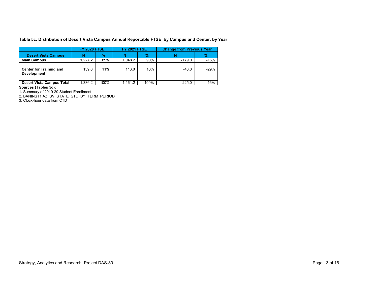**Table 5c. Distribution of Desert Vista Campus Annual Reportable FTSE by Campus and Center, by Year**

|                                                      | <b>FY 2020 FTSE</b> |               | <b>FY 2021 FTSE</b> |               | <b>Change from Previous Year</b> |               |
|------------------------------------------------------|---------------------|---------------|---------------------|---------------|----------------------------------|---------------|
| <b>Desert Vista Campus</b>                           | N                   | $\frac{9}{6}$ |                     | $\frac{9}{6}$ |                                  | $\frac{9}{6}$ |
| <b>Main Campus</b>                                   | 1.227.2             | 89%           | 1.048.2             | 90%           | $-179.0$                         | $-15%$        |
|                                                      |                     |               |                     |               |                                  |               |
| <b>Center for Training and</b><br><b>Development</b> | 159.0               | 11%           | 113.0               | 10%           | $-46.0$                          | $-29%$        |
|                                                      |                     |               |                     |               |                                  |               |
| <b>Desert Vista Campus Total</b>                     | 1.386.2             | 100%          | 1.161.2             | 100%          | $-225.0$                         | $-16%$        |

**Sources (Tables 5d):** 

1. Summary of 2019-20 Student Enrollment

2. BANINST1.AZ\_SV\_STATE\_STU\_BY\_TERM\_PERIOD

3. Clock-hour data from CTD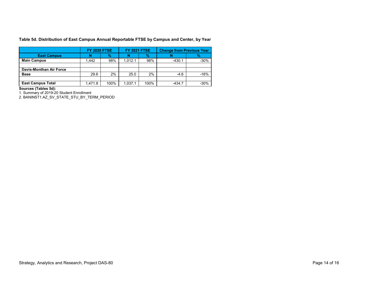**Table 5d. Distribution of East Campus Annual Reportable FTSE by Campus and Center, by Year**

|                                | <b>FY 2020 FTSE</b> |               | <b>FY 2021 FTSE</b> |      | <b>Change from Previous Year</b> |        |
|--------------------------------|---------------------|---------------|---------------------|------|----------------------------------|--------|
| <b>East Campus</b>             |                     | $\frac{9}{6}$ | N                   | $\%$ |                                  | $\%$   |
| <b>Main Campus</b>             | .442                | 98%           | 1.012.1             | 98%  | $-430.1$                         | $-30%$ |
|                                |                     |               |                     |      |                                  |        |
| <b>Davis-Monthan Air Force</b> |                     |               |                     |      |                                  |        |
| <b>Base</b>                    | 29.6                | 2%            | 25.0                | 2%   | $-4.6$                           | $-16%$ |
|                                |                     |               |                     |      |                                  |        |
| <b>East Campus Total</b>       | 1.471.8             | 100%          | 1.037.1             | 100% | $-434.7$                         | -30%   |

**Sources (Tables 5d):** 

1. Summary of 2019-20 Student Enrollment

2. BANINST1.AZ\_SV\_STATE\_STU\_BY\_TERM\_PERIOD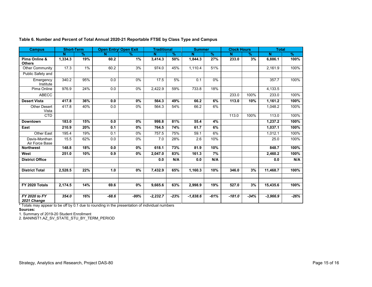| <b>Campus</b>                   | <b>Short-Term</b> |               | <b>Open Entry/ Open Exit</b> |               | <b>Traditional</b> |               | <b>Summer</b> |               | <b>Clock Hours</b> |               | <b>Total</b> |               |
|---------------------------------|-------------------|---------------|------------------------------|---------------|--------------------|---------------|---------------|---------------|--------------------|---------------|--------------|---------------|
|                                 | Ñ                 | $\frac{9}{6}$ | N                            | $\frac{9}{6}$ | N                  | $\frac{9}{6}$ | N             | $\frac{9}{6}$ | N                  | $\frac{9}{6}$ | N            | $\frac{9}{6}$ |
| Pima Online &<br><b>Others</b>  | 1,334.3           | 19%           | 60.2                         | 1%            | 3,414.3            | 50%           | 1,844.3       | 27%           | 233.0              | 3%            | 6,886.1      | 100%          |
| <b>Other Community</b>          | 17.3              | 1%            | 60.2                         | 3%            | 974.0              | 45%           | 1.110.4       | 51%           |                    |               | 2,161.9      | 100%          |
| Public Safety and               |                   |               |                              |               |                    |               |               |               |                    |               |              |               |
| Emergency<br>Institute          | 340.2             | 95%           | 0.0                          | 0%            | 17.5               | 5%            | 0.1           | $0\%$         |                    |               | 357.7        | 100%          |
| Pima Online                     | 976.9             | 24%           | 0.0                          | 0%            | 2,422.9            | 59%           | 733.8         | 18%           |                    |               | 4,133.5      |               |
| <b>ABECC</b>                    |                   |               |                              |               |                    |               |               |               | 233.0              | 100%          | 233.0        | 100%          |
| <b>Desert Vista</b>             | 417.8             | 36%           | 0.0                          | 0%            | 564.3              | 49%           | 66.2          | 6%            | 113.0              | 10%           | 1,161.2      | 100%          |
| <b>Other Desert</b><br>Vista    | 417.8             | 40%           | 0.0                          | 0%            | 564.3              | 54%           | 66.2          | 6%            |                    |               | 1,048.2      | 100%          |
| <b>CTD</b>                      |                   |               |                              |               |                    |               |               |               | 113.0              | 100%          | 113.0        | 100%          |
| <b>Downtown</b>                 | 183.0             | 15%           | 0.0                          | 0%            | 998.8              | 81%           | 55.4          | 4%            |                    |               | 1,237.2      | 100%          |
| East                            | 210.9             | 20%           | 0.1                          | 0%            | 764.5              | 74%           | 61.7          | 6%            |                    |               | 1,037.1      | 100%          |
| <b>Other East</b>               | 195.4             | 19%           | 0.1                          | 0%            | 757.5              | 75%           | 59.1          | 6%            |                    |               | 1,012.1      | 100%          |
| Davis-Monthan<br>Air Force Base | 15.5              | 62%           | 0.0                          | 0%            | 7.0                | 28%           | 2.6           | 10%           |                    |               | 25.0         | 100%          |
| <b>Northwest</b>                | 148.8             | 18%           | 0.0                          | 0%            | 618.1              | 73%           | 81.9          | 10%           |                    |               | 848.7        | 100%          |
| West                            | 251.0             | 10%           | 0.9                          | 0%            | 2,047.0            | 83%           | 161.3         | 7%            |                    |               | 2,460.2      | 100%          |
| <b>District Office</b>          |                   |               |                              |               | 0.0                | N/A           | 0.0           | N/A           |                    |               | 0.0          | N/A           |
| <b>District Total</b>           | 2,528.5           | 22%           | 1.0                          | 0%            | 7,432.9            | 65%           | 1,160.3       | 10%           | 346.0              | 3%            | 11,468.7     | 100%          |
|                                 |                   |               |                              |               |                    |               |               |               |                    |               |              |               |
|                                 |                   |               |                              |               |                    |               |               |               |                    |               |              |               |
| FY 2020 Totals                  | 2,174.5           | 14%           | 69.6                         | 0%            | 9,665.6            | 63%           | 2,998.9       | 19%           | 527.0              | 3%            | 15,435.6     | 100%          |
| FY 2020 to FY<br>2021 Change    | 354.0             | 16%           | $-68.6$                      | -99%          | $-2,232.7$         | $-23%$        | $-1,838.6$    | $-61%$        | $-181.0$           | $-34%$        | $-3,966.9$   | $-26%$        |

**Table 6. Number and Percent of Total Annual 2020-21 Reportable FTSE by Class Type and Campus**

\* Totals may appear to be off by 0.1 due to rounding in the presentation of individual numbers

**Sources:** 

1. Summary of 2019-20 Student Enrollment

2. BANINST1.AZ\_SV\_STATE\_STU\_BY\_TERM\_PERIOD